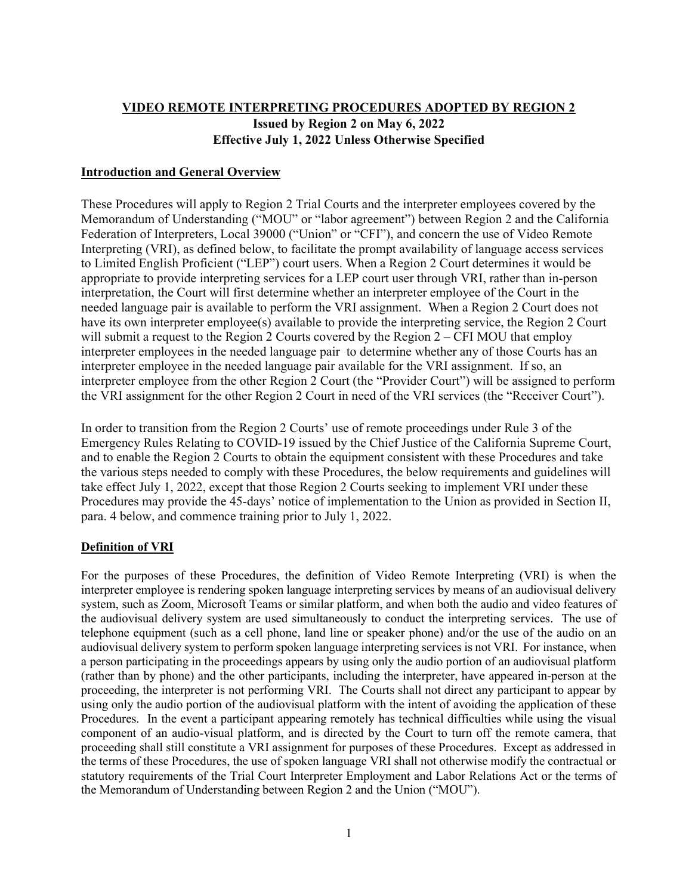# VIDEO REMOTE INTERPRETING PROCEDURES ADOPTED BY REGION 2 Issued by Region 2 on May 6, 2022 Effective July 1, 2022 Unless Otherwise Specified

### Introduction and General Overview

These Procedures will apply to Region 2 Trial Courts and the interpreter employees covered by the Memorandum of Understanding ("MOU" or "labor agreement") between Region 2 and the California Federation of Interpreters, Local 39000 ("Union" or "CFI"), and concern the use of Video Remote Interpreting (VRI), as defined below, to facilitate the prompt availability of language access services to Limited English Proficient ("LEP") court users. When a Region 2 Court determines it would be appropriate to provide interpreting services for a LEP court user through VRI, rather than in-person interpretation, the Court will first determine whether an interpreter employee of the Court in the needed language pair is available to perform the VRI assignment. When a Region 2 Court does not have its own interpreter employee(s) available to provide the interpreting service, the Region 2 Court will submit a request to the Region 2 Courts covered by the Region  $2 - CFI$  MOU that employ interpreter employees in the needed language pair to determine whether any of those Courts has an interpreter employee in the needed language pair available for the VRI assignment. If so, an interpreter employee from the other Region 2 Court (the "Provider Court") will be assigned to perform the VRI assignment for the other Region 2 Court in need of the VRI services (the "Receiver Court").

In order to transition from the Region 2 Courts' use of remote proceedings under Rule 3 of the Emergency Rules Relating to COVID-19 issued by the Chief Justice of the California Supreme Court, and to enable the Region 2 Courts to obtain the equipment consistent with these Procedures and take the various steps needed to comply with these Procedures, the below requirements and guidelines will take effect July 1, 2022, except that those Region 2 Courts seeking to implement VRI under these Procedures may provide the 45-days' notice of implementation to the Union as provided in Section II, para. 4 below, and commence training prior to July 1, 2022.

## Definition of VRI

For the purposes of these Procedures, the definition of Video Remote Interpreting (VRI) is when the interpreter employee is rendering spoken language interpreting services by means of an audiovisual delivery system, such as Zoom, Microsoft Teams or similar platform, and when both the audio and video features of the audiovisual delivery system are used simultaneously to conduct the interpreting services. The use of telephone equipment (such as a cell phone, land line or speaker phone) and/or the use of the audio on an audiovisual delivery system to perform spoken language interpreting services is not VRI. For instance, when a person participating in the proceedings appears by using only the audio portion of an audiovisual platform (rather than by phone) and the other participants, including the interpreter, have appeared in-person at the proceeding, the interpreter is not performing VRI. The Courts shall not direct any participant to appear by using only the audio portion of the audiovisual platform with the intent of avoiding the application of these Procedures. In the event a participant appearing remotely has technical difficulties while using the visual component of an audio-visual platform, and is directed by the Court to turn off the remote camera, that proceeding shall still constitute a VRI assignment for purposes of these Procedures. Except as addressed in the terms of these Procedures, the use of spoken language VRI shall not otherwise modify the contractual or statutory requirements of the Trial Court Interpreter Employment and Labor Relations Act or the terms of the Memorandum of Understanding between Region 2 and the Union ("MOU").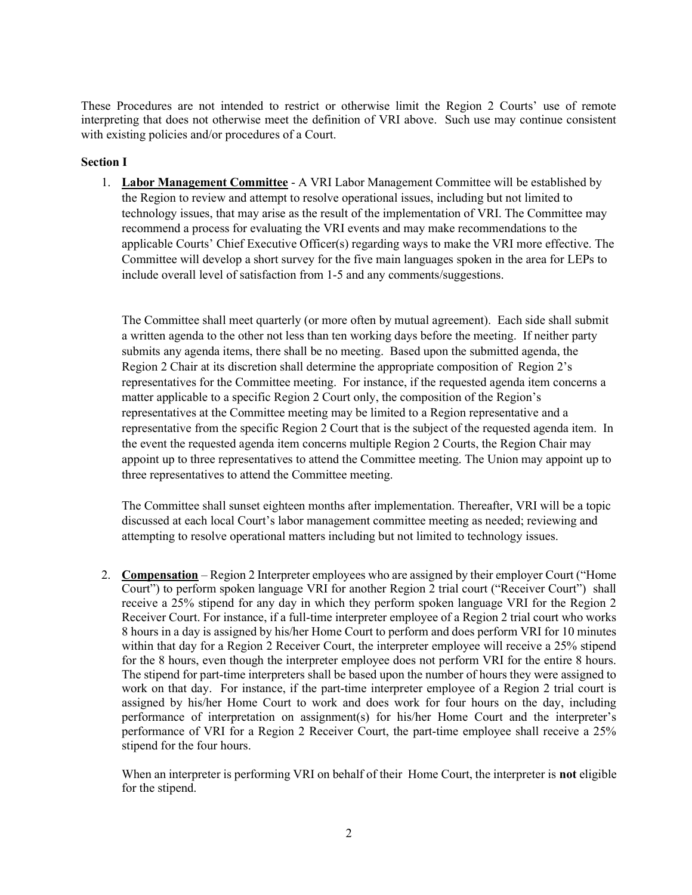These Procedures are not intended to restrict or otherwise limit the Region 2 Courts' use of remote interpreting that does not otherwise meet the definition of VRI above. Such use may continue consistent with existing policies and/or procedures of a Court.

#### Section I

1. Labor Management Committee - A VRI Labor Management Committee will be established by the Region to review and attempt to resolve operational issues, including but not limited to technology issues, that may arise as the result of the implementation of VRI. The Committee may recommend a process for evaluating the VRI events and may make recommendations to the applicable Courts' Chief Executive Officer(s) regarding ways to make the VRI more effective. The Committee will develop a short survey for the five main languages spoken in the area for LEPs to include overall level of satisfaction from 1-5 and any comments/suggestions.

The Committee shall meet quarterly (or more often by mutual agreement). Each side shall submit a written agenda to the other not less than ten working days before the meeting. If neither party submits any agenda items, there shall be no meeting. Based upon the submitted agenda, the Region 2 Chair at its discretion shall determine the appropriate composition of Region 2's representatives for the Committee meeting. For instance, if the requested agenda item concerns a matter applicable to a specific Region 2 Court only, the composition of the Region's representatives at the Committee meeting may be limited to a Region representative and a representative from the specific Region 2 Court that is the subject of the requested agenda item. In the event the requested agenda item concerns multiple Region 2 Courts, the Region Chair may appoint up to three representatives to attend the Committee meeting. The Union may appoint up to three representatives to attend the Committee meeting.

The Committee shall sunset eighteen months after implementation. Thereafter, VRI will be a topic discussed at each local Court's labor management committee meeting as needed; reviewing and attempting to resolve operational matters including but not limited to technology issues.

2. Compensation – Region 2 Interpreter employees who are assigned by their employer Court ("Home Court") to perform spoken language VRI for another Region 2 trial court ("Receiver Court") shall receive a 25% stipend for any day in which they perform spoken language VRI for the Region 2 Receiver Court. For instance, if a full-time interpreter employee of a Region 2 trial court who works 8 hours in a day is assigned by his/her Home Court to perform and does perform VRI for 10 minutes within that day for a Region 2 Receiver Court, the interpreter employee will receive a 25% stipend for the 8 hours, even though the interpreter employee does not perform VRI for the entire 8 hours. The stipend for part-time interpreters shall be based upon the number of hours they were assigned to work on that day. For instance, if the part-time interpreter employee of a Region 2 trial court is assigned by his/her Home Court to work and does work for four hours on the day, including performance of interpretation on assignment(s) for his/her Home Court and the interpreter's performance of VRI for a Region 2 Receiver Court, the part-time employee shall receive a 25% stipend for the four hours.

When an interpreter is performing VRI on behalf of their Home Court, the interpreter is **not** eligible for the stipend.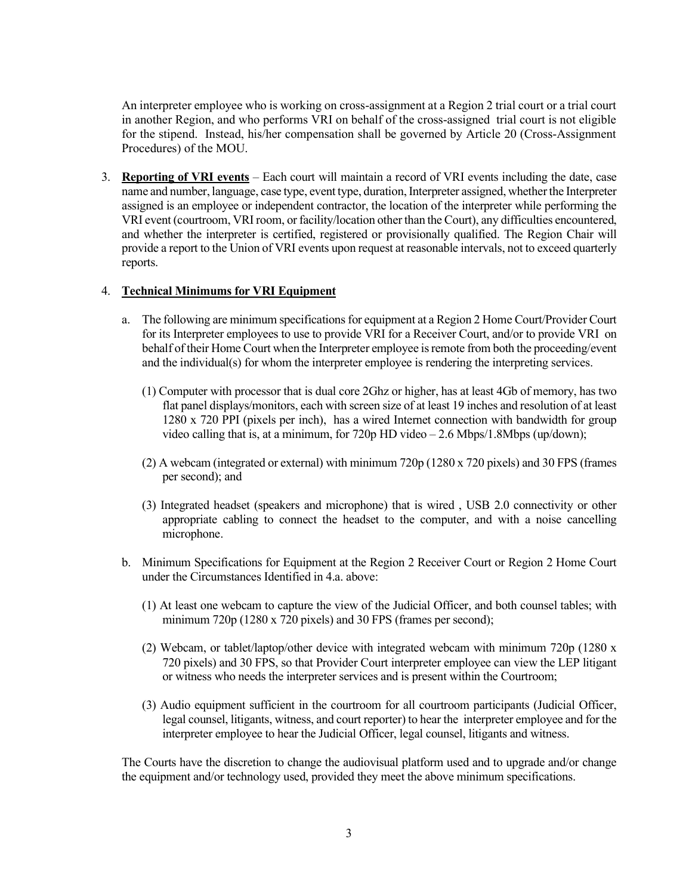An interpreter employee who is working on cross-assignment at a Region 2 trial court or a trial court in another Region, and who performs VRI on behalf of the cross-assigned trial court is not eligible for the stipend. Instead, his/her compensation shall be governed by Article 20 (Cross-Assignment Procedures) of the MOU.

3. Reporting of VRI events – Each court will maintain a record of VRI events including the date, case name and number, language, case type, event type, duration, Interpreter assigned, whether the Interpreter assigned is an employee or independent contractor, the location of the interpreter while performing the VRI event (courtroom, VRI room, or facility/location other than the Court), any difficulties encountered, and whether the interpreter is certified, registered or provisionally qualified. The Region Chair will provide a report to the Union of VRI events upon request at reasonable intervals, not to exceed quarterly reports.

#### 4. Technical Minimums for VRI Equipment

- a. The following are minimum specifications for equipment at a Region 2 Home Court/Provider Court for its Interpreter employees to use to provide VRI for a Receiver Court, and/or to provide VRI on behalf of their Home Court when the Interpreter employee is remote from both the proceeding/event and the individual(s) for whom the interpreter employee is rendering the interpreting services.
	- (1) Computer with processor that is dual core 2Ghz or higher, has at least 4Gb of memory, has two flat panel displays/monitors, each with screen size of at least 19 inches and resolution of at least 1280 x 720 PPI (pixels per inch), has a wired Internet connection with bandwidth for group video calling that is, at a minimum, for 720p HD video – 2.6 Mbps/1.8Mbps (up/down);
	- (2) A webcam (integrated or external) with minimum 720p (1280 x 720 pixels) and 30 FPS (frames per second); and
	- (3) Integrated headset (speakers and microphone) that is wired , USB 2.0 connectivity or other appropriate cabling to connect the headset to the computer, and with a noise cancelling microphone.
- b. Minimum Specifications for Equipment at the Region 2 Receiver Court or Region 2 Home Court under the Circumstances Identified in 4.a. above:
	- (1) At least one webcam to capture the view of the Judicial Officer, and both counsel tables; with minimum 720p (1280 x 720 pixels) and 30 FPS (frames per second);
	- (2) Webcam, or tablet/laptop/other device with integrated webcam with minimum 720p (1280 x 720 pixels) and 30 FPS, so that Provider Court interpreter employee can view the LEP litigant or witness who needs the interpreter services and is present within the Courtroom;
	- (3) Audio equipment sufficient in the courtroom for all courtroom participants (Judicial Officer, legal counsel, litigants, witness, and court reporter) to hear the interpreter employee and for the interpreter employee to hear the Judicial Officer, legal counsel, litigants and witness.

The Courts have the discretion to change the audiovisual platform used and to upgrade and/or change the equipment and/or technology used, provided they meet the above minimum specifications.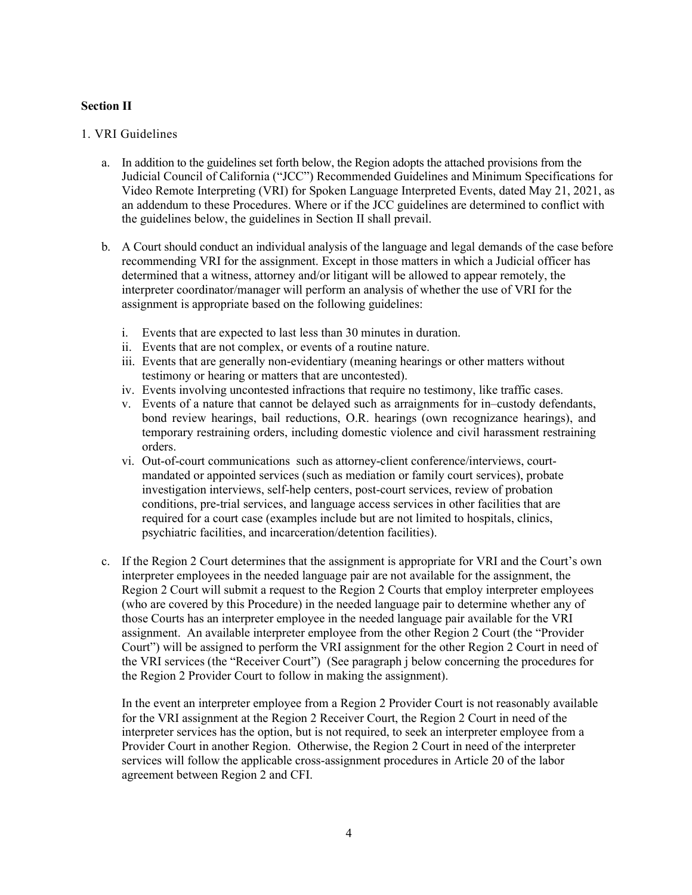#### Section II

#### 1. VRI Guidelines

- a. In addition to the guidelines set forth below, the Region adopts the attached provisions from the Judicial Council of California ("JCC") Recommended Guidelines and Minimum Specifications for Video Remote Interpreting (VRI) for Spoken Language Interpreted Events, dated May 21, 2021, as an addendum to these Procedures. Where or if the JCC guidelines are determined to conflict with the guidelines below, the guidelines in Section II shall prevail.
- b. A Court should conduct an individual analysis of the language and legal demands of the case before recommending VRI for the assignment. Except in those matters in which a Judicial officer has determined that a witness, attorney and/or litigant will be allowed to appear remotely, the interpreter coordinator/manager will perform an analysis of whether the use of VRI for the assignment is appropriate based on the following guidelines:
	- i. Events that are expected to last less than 30 minutes in duration.
	- ii. Events that are not complex, or events of a routine nature.
	- iii. Events that are generally non-evidentiary (meaning hearings or other matters without testimony or hearing or matters that are uncontested).
	- iv. Events involving uncontested infractions that require no testimony, like traffic cases.
	- v. Events of a nature that cannot be delayed such as arraignments for in–custody defendants, bond review hearings, bail reductions, O.R. hearings (own recognizance hearings), and temporary restraining orders, including domestic violence and civil harassment restraining orders.
	- vi. Out-of-court communications such as attorney-client conference/interviews, courtmandated or appointed services (such as mediation or family court services), probate investigation interviews, self-help centers, post-court services, review of probation conditions, pre-trial services, and language access services in other facilities that are required for a court case (examples include but are not limited to hospitals, clinics, psychiatric facilities, and incarceration/detention facilities).
- c. If the Region 2 Court determines that the assignment is appropriate for VRI and the Court's own interpreter employees in the needed language pair are not available for the assignment, the Region 2 Court will submit a request to the Region 2 Courts that employ interpreter employees (who are covered by this Procedure) in the needed language pair to determine whether any of those Courts has an interpreter employee in the needed language pair available for the VRI assignment. An available interpreter employee from the other Region 2 Court (the "Provider Court") will be assigned to perform the VRI assignment for the other Region 2 Court in need of the VRI services (the "Receiver Court") (See paragraph j below concerning the procedures for the Region 2 Provider Court to follow in making the assignment).

In the event an interpreter employee from a Region 2 Provider Court is not reasonably available for the VRI assignment at the Region 2 Receiver Court, the Region 2 Court in need of the interpreter services has the option, but is not required, to seek an interpreter employee from a Provider Court in another Region. Otherwise, the Region 2 Court in need of the interpreter services will follow the applicable cross-assignment procedures in Article 20 of the labor agreement between Region 2 and CFI.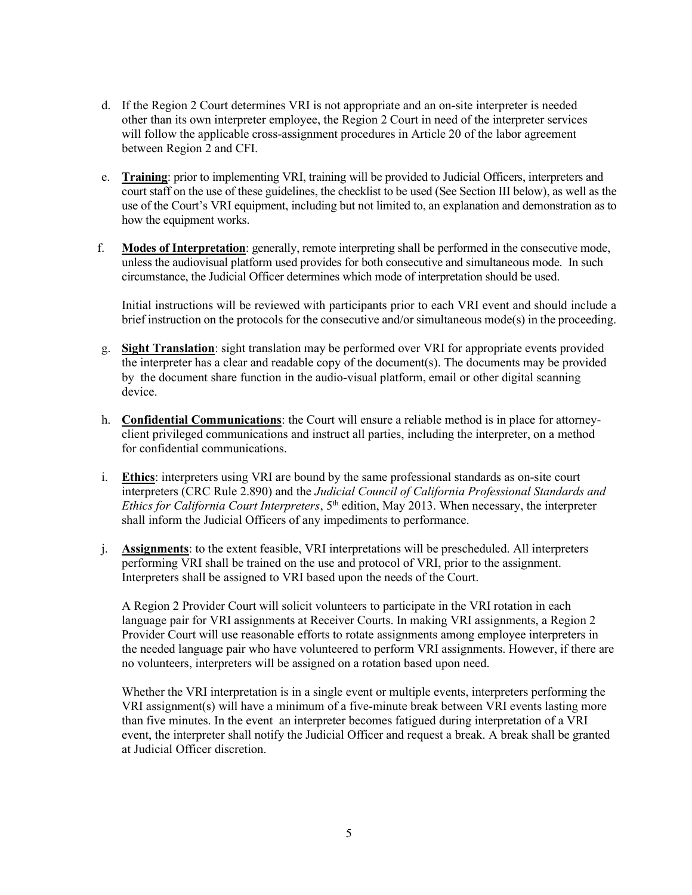- d. If the Region 2 Court determines VRI is not appropriate and an on-site interpreter is needed other than its own interpreter employee, the Region 2 Court in need of the interpreter services will follow the applicable cross-assignment procedures in Article 20 of the labor agreement between Region 2 and CFI.
- e. Training: prior to implementing VRI, training will be provided to Judicial Officers, interpreters and court staff on the use of these guidelines, the checklist to be used (See Section III below), as well as the use of the Court's VRI equipment, including but not limited to, an explanation and demonstration as to how the equipment works.
- f. Modes of Interpretation: generally, remote interpreting shall be performed in the consecutive mode, unless the audiovisual platform used provides for both consecutive and simultaneous mode. In such circumstance, the Judicial Officer determines which mode of interpretation should be used.

Initial instructions will be reviewed with participants prior to each VRI event and should include a brief instruction on the protocols for the consecutive and/or simultaneous mode(s) in the proceeding.

- g. Sight Translation: sight translation may be performed over VRI for appropriate events provided the interpreter has a clear and readable copy of the document(s). The documents may be provided by the document share function in the audio-visual platform, email or other digital scanning device.
- h. Confidential Communications: the Court will ensure a reliable method is in place for attorneyclient privileged communications and instruct all parties, including the interpreter, on a method for confidential communications.
- i. Ethics: interpreters using VRI are bound by the same professional standards as on-site court interpreters (CRC Rule 2.890) and the Judicial Council of California Professional Standards and Ethics for California Court Interpreters,  $5<sup>th</sup>$  edition, May 2013. When necessary, the interpreter shall inform the Judicial Officers of any impediments to performance.
- j. Assignments: to the extent feasible, VRI interpretations will be prescheduled. All interpreters performing VRI shall be trained on the use and protocol of VRI, prior to the assignment. Interpreters shall be assigned to VRI based upon the needs of the Court.

A Region 2 Provider Court will solicit volunteers to participate in the VRI rotation in each language pair for VRI assignments at Receiver Courts. In making VRI assignments, a Region 2 Provider Court will use reasonable efforts to rotate assignments among employee interpreters in the needed language pair who have volunteered to perform VRI assignments. However, if there are no volunteers, interpreters will be assigned on a rotation based upon need.

Whether the VRI interpretation is in a single event or multiple events, interpreters performing the VRI assignment(s) will have a minimum of a five-minute break between VRI events lasting more than five minutes. In the event an interpreter becomes fatigued during interpretation of a VRI event, the interpreter shall notify the Judicial Officer and request a break. A break shall be granted at Judicial Officer discretion.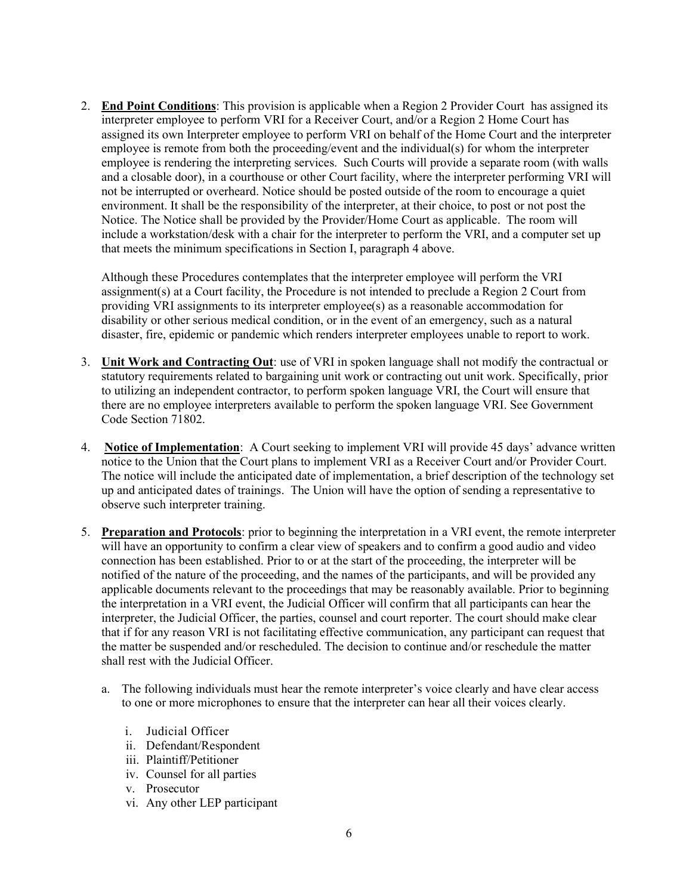2. End Point Conditions: This provision is applicable when a Region 2 Provider Court has assigned its interpreter employee to perform VRI for a Receiver Court, and/or a Region 2 Home Court has assigned its own Interpreter employee to perform VRI on behalf of the Home Court and the interpreter employee is remote from both the proceeding/event and the individual(s) for whom the interpreter employee is rendering the interpreting services. Such Courts will provide a separate room (with walls and a closable door), in a courthouse or other Court facility, where the interpreter performing VRI will not be interrupted or overheard. Notice should be posted outside of the room to encourage a quiet environment. It shall be the responsibility of the interpreter, at their choice, to post or not post the Notice. The Notice shall be provided by the Provider/Home Court as applicable. The room will include a workstation/desk with a chair for the interpreter to perform the VRI, and a computer set up that meets the minimum specifications in Section I, paragraph 4 above.

Although these Procedures contemplates that the interpreter employee will perform the VRI assignment(s) at a Court facility, the Procedure is not intended to preclude a Region 2 Court from providing VRI assignments to its interpreter employee(s) as a reasonable accommodation for disability or other serious medical condition, or in the event of an emergency, such as a natural disaster, fire, epidemic or pandemic which renders interpreter employees unable to report to work.

- 3. Unit Work and Contracting Out: use of VRI in spoken language shall not modify the contractual or statutory requirements related to bargaining unit work or contracting out unit work. Specifically, prior to utilizing an independent contractor, to perform spoken language VRI, the Court will ensure that there are no employee interpreters available to perform the spoken language VRI. See Government Code Section 71802.
- 4. Notice of Implementation: A Court seeking to implement VRI will provide 45 days' advance written notice to the Union that the Court plans to implement VRI as a Receiver Court and/or Provider Court. The notice will include the anticipated date of implementation, a brief description of the technology set up and anticipated dates of trainings. The Union will have the option of sending a representative to observe such interpreter training.
- 5. Preparation and Protocols: prior to beginning the interpretation in a VRI event, the remote interpreter will have an opportunity to confirm a clear view of speakers and to confirm a good audio and video connection has been established. Prior to or at the start of the proceeding, the interpreter will be notified of the nature of the proceeding, and the names of the participants, and will be provided any applicable documents relevant to the proceedings that may be reasonably available. Prior to beginning the interpretation in a VRI event, the Judicial Officer will confirm that all participants can hear the interpreter, the Judicial Officer, the parties, counsel and court reporter. The court should make clear that if for any reason VRI is not facilitating effective communication, any participant can request that the matter be suspended and/or rescheduled. The decision to continue and/or reschedule the matter shall rest with the Judicial Officer.
	- a. The following individuals must hear the remote interpreter's voice clearly and have clear access to one or more microphones to ensure that the interpreter can hear all their voices clearly.
		- i. Judicial Officer
		- ii. Defendant/Respondent
		- iii. Plaintiff/Petitioner
		- iv. Counsel for all parties
		- v. Prosecutor
		- vi. Any other LEP participant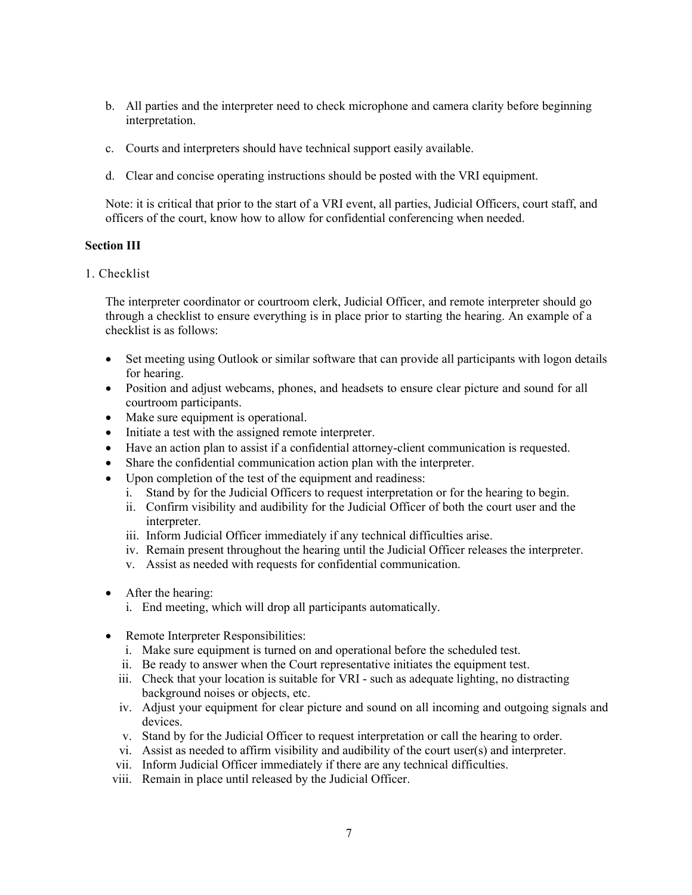- b. All parties and the interpreter need to check microphone and camera clarity before beginning interpretation.
- c. Courts and interpreters should have technical support easily available.
- d. Clear and concise operating instructions should be posted with the VRI equipment.

Note: it is critical that prior to the start of a VRI event, all parties, Judicial Officers, court staff, and officers of the court, know how to allow for confidential conferencing when needed.

#### Section III

1. Checklist

The interpreter coordinator or courtroom clerk, Judicial Officer, and remote interpreter should go through a checklist to ensure everything is in place prior to starting the hearing. An example of a checklist is as follows:

- Set meeting using Outlook or similar software that can provide all participants with logon details for hearing.
- Position and adjust webcams, phones, and headsets to ensure clear picture and sound for all courtroom participants.
- Make sure equipment is operational.
- Initiate a test with the assigned remote interpreter.
- Have an action plan to assist if a confidential attorney-client communication is requested.
- Share the confidential communication action plan with the interpreter.
- Upon completion of the test of the equipment and readiness:
	- i. Stand by for the Judicial Officers to request interpretation or for the hearing to begin.
	- ii. Confirm visibility and audibility for the Judicial Officer of both the court user and the interpreter.
	- iii. Inform Judicial Officer immediately if any technical difficulties arise.
	- iv. Remain present throughout the hearing until the Judicial Officer releases the interpreter.
	- v. Assist as needed with requests for confidential communication.
- After the hearing:
	- i. End meeting, which will drop all participants automatically.
- Remote Interpreter Responsibilities:
	- i. Make sure equipment is turned on and operational before the scheduled test.
	- ii. Be ready to answer when the Court representative initiates the equipment test.
	- iii. Check that your location is suitable for VRI such as adequate lighting, no distracting background noises or objects, etc.
	- iv. Adjust your equipment for clear picture and sound on all incoming and outgoing signals and devices.
	- v. Stand by for the Judicial Officer to request interpretation or call the hearing to order.
	- vi. Assist as needed to affirm visibility and audibility of the court user(s) and interpreter.
	- vii. Inform Judicial Officer immediately if there are any technical difficulties.
- viii. Remain in place until released by the Judicial Officer.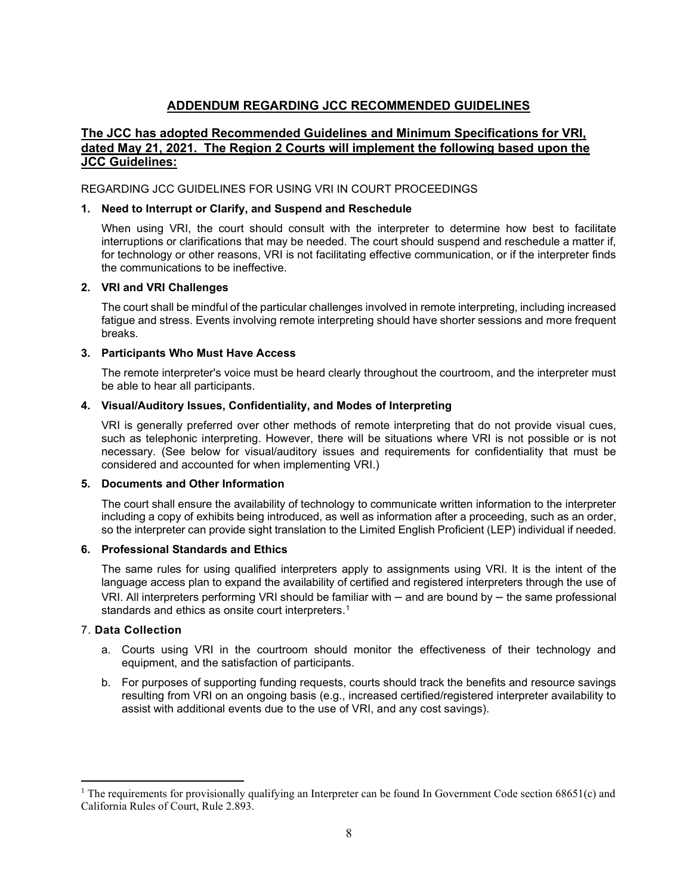## ADDENDUM REGARDING JCC RECOMMENDED GUIDELINES

#### The JCC has adopted Recommended Guidelines and Minimum Specifications for VRI, dated May 21, 2021. The Region 2 Courts will implement the following based upon the **JCC Guidelines:**

#### REGARDING JCC GUIDELINES FOR USING VRI IN COURT PROCEEDINGS

#### 1. Need to Interrupt or Clarify, and Suspend and Reschedule

When using VRI, the court should consult with the interpreter to determine how best to facilitate interruptions or clarifications that may be needed. The court should suspend and reschedule a matter if, for technology or other reasons, VRI is not facilitating effective communication, or if the interpreter finds the communications to be ineffective.

#### 2. VRI and VRI Challenges

The court shall be mindful of the particular challenges involved in remote interpreting, including increased fatigue and stress. Events involving remote interpreting should have shorter sessions and more frequent breaks.

#### 3. Participants Who Must Have Access

The remote interpreter's voice must be heard clearly throughout the courtroom, and the interpreter must be able to hear all participants.

#### 4. Visual/Auditory Issues, Confidentiality, and Modes of Interpreting

VRI is generally preferred over other methods of remote interpreting that do not provide visual cues, such as telephonic interpreting. However, there will be situations where VRI is not possible or is not necessary. (See below for visual/auditory issues and requirements for confidentiality that must be considered and accounted for when implementing VRI.)

#### 5. Documents and Other Information

The court shall ensure the availability of technology to communicate written information to the interpreter including a copy of exhibits being introduced, as well as information after a proceeding, such as an order, so the interpreter can provide sight translation to the Limited English Proficient (LEP) individual if needed.

#### 6. Professional Standards and Ethics

The same rules for using qualified interpreters apply to assignments using VRI. It is the intent of the language access plan to expand the availability of certified and registered interpreters through the use of VRI. All interpreters performing VRI should be familiar with – and are bound by – the same professional standards and ethics as onsite court interpreters.<sup>1</sup>

#### 7. Data Collection

- a. Courts using VRI in the courtroom should monitor the effectiveness of their technology and equipment, and the satisfaction of participants.
- b. For purposes of supporting funding requests, courts should track the benefits and resource savings resulting from VRI on an ongoing basis (e.g., increased certified/registered interpreter availability to assist with additional events due to the use of VRI, and any cost savings).

<sup>&</sup>lt;sup>1</sup> The requirements for provisionally qualifying an Interpreter can be found In Government Code section  $68651(c)$  and California Rules of Court, Rule 2.893.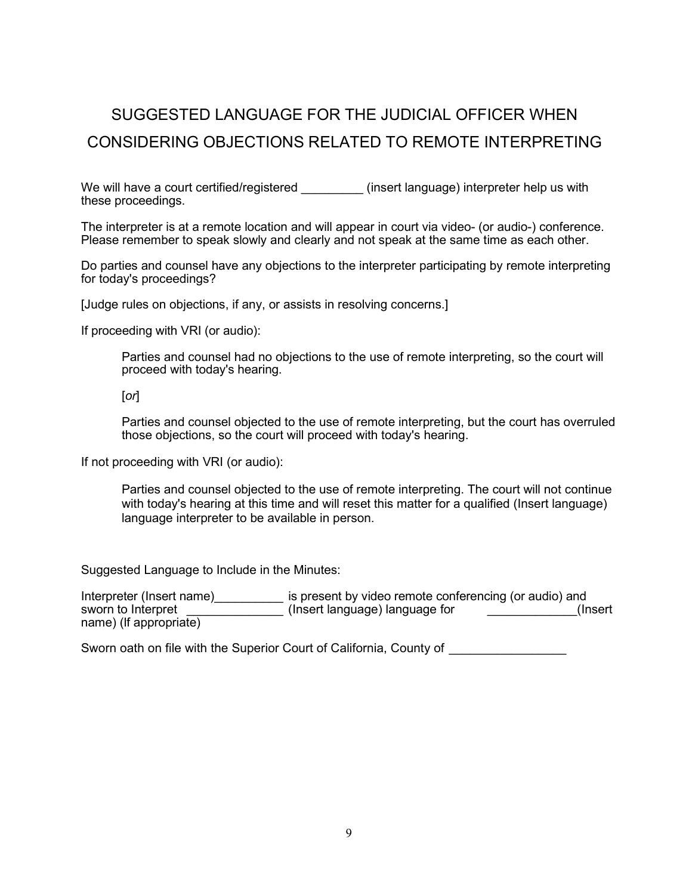# SUGGESTED LANGUAGE FOR THE JUDICIAL OFFICER WHEN CONSIDERING OBJECTIONS RELATED TO REMOTE INTERPRETING

We will have a court certified/registered (insert language) interpreter help us with these proceedings.

The interpreter is at a remote location and will appear in court via video- (or audio-) conference. Please remember to speak slowly and clearly and not speak at the same time as each other.

Do parties and counsel have any objections to the interpreter participating by remote interpreting for today's proceedings?

[Judge rules on objections, if any, or assists in resolving concerns.]

If proceeding with VRI (or audio):

Parties and counsel had no objections to the use of remote interpreting, so the court will proceed with today's hearing.

[or]

Parties and counsel objected to the use of remote interpreting, but the court has overruled those objections, so the court will proceed with today's hearing.

If not proceeding with VRI (or audio):

Parties and counsel objected to the use of remote interpreting. The court will not continue with today's hearing at this time and will reset this matter for a qualified (Insert language) language interpreter to be available in person.

Suggested Language to Include in the Minutes:

Interpreter (Insert name)\_\_\_\_\_\_\_\_\_\_\_\_ is present by video remote conferencing (or audio) and sworn to Interpret \_\_\_\_\_\_\_\_\_\_\_\_\_\_\_\_\_\_\_\_\_(Insert language) language for \_\_\_\_\_\_\_\_\_\_\_\_\_\_(Insert name) (lf appropriate)

Sworn oath on file with the Superior Court of California, County of